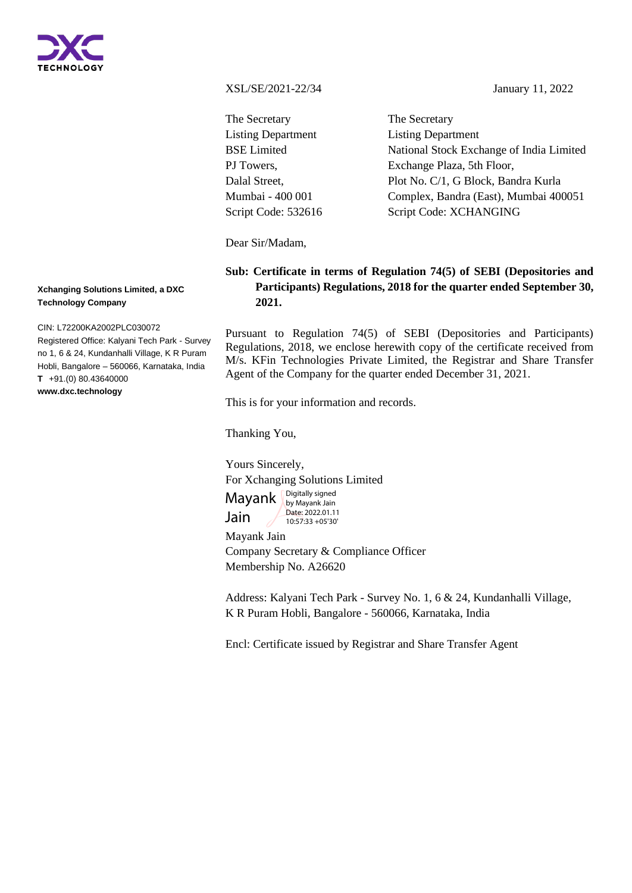

XSL/SE/2021-22/34 January 11, 2022

The Secretary Listing Department BSE Limited PJ Towers, Dalal Street, Mumbai - 400 001 Script Code: 532616 The Secretary Listing Department National Stock Exchange of India Limited Exchange Plaza, 5th Floor, Plot No. C/1, G Block, Bandra Kurla Complex, Bandra (East), Mumbai 400051 Script Code: XCHANGING

Dear Sir/Madam,

## **Sub: Certificate in terms of Regulation 74(5) of SEBI (Depositories and Participants) Regulations, 2018 for the quarter ended September 30, 2021.**

Pursuant to Regulation 74(5) of SEBI (Depositories and Participants) Regulations, 2018, we enclose herewith copy of the certificate received from M/s. KFin Technologies Private Limited, the Registrar and Share Transfer Agent of the Company for the quarter ended December 31, 2021.

This is for your information and records.

Thanking You,

Yours Sincerely,

For Xchanging Solutions Limited

Mayank Jain Digitally signed

by Mayank Jain Date: 2022.01.11 10:57:33 +05'30'

Mayank Jain

Company Secretary & Compliance Officer Membership No. A26620

Address: Kalyani Tech Park - Survey No. 1, 6 & 24, Kundanhalli Village, K R Puram Hobli, Bangalore - 560066, Karnataka, India

Encl: Certificate issued by Registrar and Share Transfer Agent

**Xchanging Solutions Limited, a DXC Technology Company**

CIN: L72200KA2002PLC030072

Registered Office: Kalyani Tech Park - Survey no 1, 6 & 24, Kundanhalli Village, K R Puram Hobli, Bangalore – 560066, Karnataka, India **T** +91.(0) 80.43640000 **www.dxc.technology**